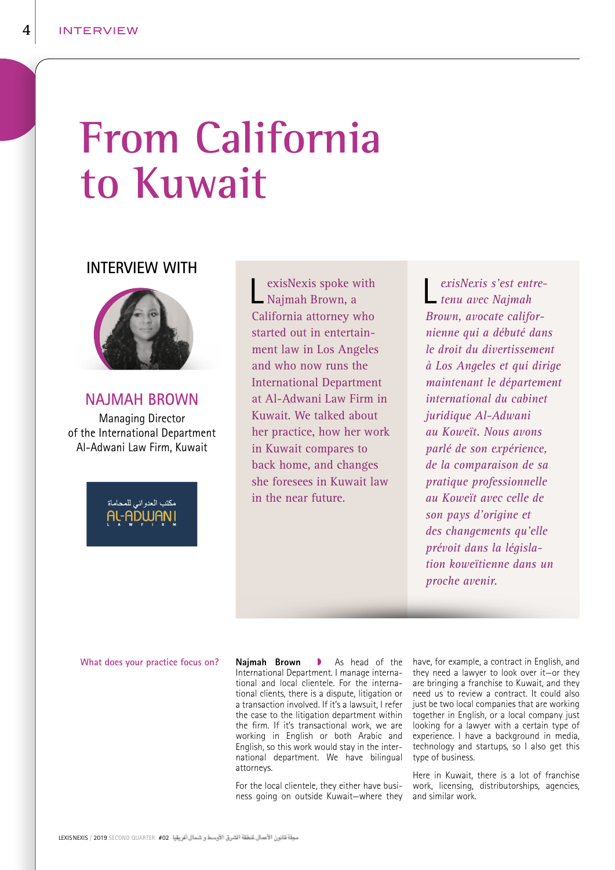# **From California to Kuwait**

## **INTERVIEW WITH**



## **NAJMAH BROWN**

Managing Director of the International Department Al-Adwani Law Firm, Kuwait



exisNexis spoke with Najmah Brown, a California attorney who started out in entertainment law in Los Angeles and who now runs the International Department at Al-Adwani Law Firm in Kuwait. We talked about her practice, how her work in Kuwait compares to back home, and changes she foresees in Kuwait law in the near future.

L *exisNexis s'est entre-tenu avec Najmah Brown, avocate californienne qui a débuté dans le droit du divertissement à Los Angeles et qui dirige maintenant le département international du cabinet juridique Al-Adwani au Koweït. Nous avons parlé de son expérience, de la comparaison de sa pratique professionnelle au Koweït avec celle de son pays d'origine et des changements qu'elle prévoit dans la législation koweïtienne dans un proche avenir.*

### **What does your practice focus on?**

**Najmah Brown As head of the** International Department. I manage international and local clientele. For the international clients, there is a dispute, litigation or a transaction involved. If it's a lawsuit, I refer the case to the litigation department within the firm. If it's transactional work, we are working in English or both Arabic and English, so this work would stay in the international department. We have bilingual attorneys.

For the local clientele, they either have business going on outside Kuwait—where they

have, for example, a contract in English, and they need a lawyer to look over it—or they are bringing a franchise to Kuwait, and they need us to review a contract. It could also just be two local companies that are working together in English, or a local company just looking for a lawyer with a certain type of experience. I have a background in media, technology and startups, so I also get this type of business.

Here in Kuwait, there is a lot of franchise work, licensing, distributorships, agencies, and similar work.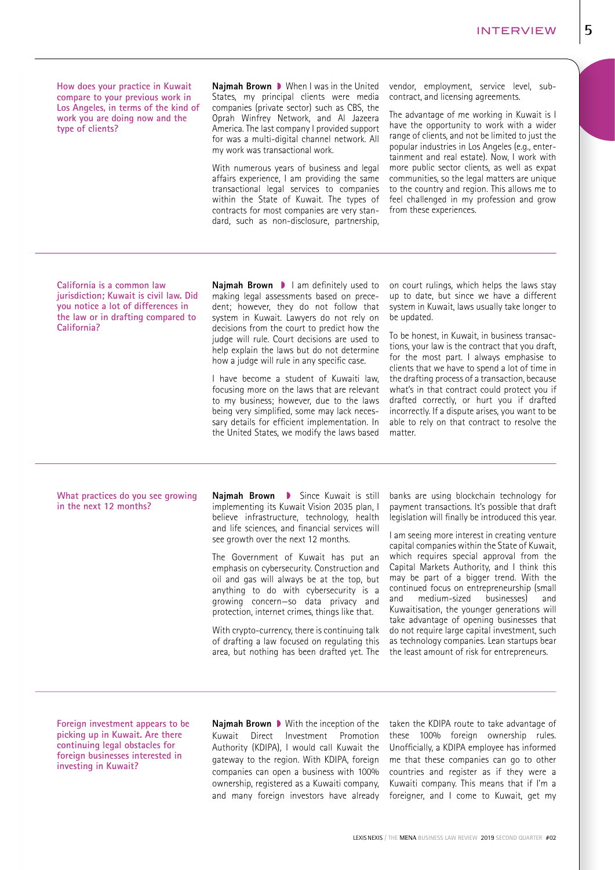**How does your practice in Kuwait compare to your previous work in Los Angeles, in terms of the kind of work you are doing now and the type of clients?** 

**Najmah Brown** When I was in the United States, my principal clients were media companies (private sector) such as CBS, the Oprah Winfrey Network, and Al Jazeera America. The last company I provided support for was a multi-digital channel network. All my work was transactional work.

With numerous years of business and legal affairs experience, I am providing the same transactional legal services to companies within the State of Kuwait. The types of contracts for most companies are very standard, such as non-disclosure, partnership,

vendor, employment, service level, subcontract, and licensing agreements.

The advantage of me working in Kuwait is I have the opportunity to work with a wider range of clients, and not be limited to just the popular industries in Los Angeles (e.g., entertainment and real estate). Now, I work with more public sector clients, as well as expat communities, so the legal matters are unique to the country and region. This allows me to feel challenged in my profession and grow from these experiences.

**California is a common law jurisdiction; Kuwait is civil law. Did you notice a lot of differences in the law or in drafting compared to California?** 

**Najmah Brown I** lam definitely used to making legal assessments based on precedent; however, they do not follow that system in Kuwait. Lawyers do not rely on decisions from the court to predict how the judge will rule. Court decisions are used to help explain the laws but do not determine how a judge will rule in any specific case.

I have become a student of Kuwaiti law, focusing more on the laws that are relevant to my business; however, due to the laws being very simplified, some may lack necessary details for efficient implementation. In the United States, we modify the laws based on court rulings, which helps the laws stay up to date, but since we have a different system in Kuwait, laws usually take longer to be updated.

To be honest, in Kuwait, in business transactions, your law is the contract that you draft, for the most part. I always emphasise to clients that we have to spend a lot of time in the drafting process of a transaction, because what's in that contract could protect you if drafted correctly, or hurt you if drafted incorrectly. If a dispute arises, you want to be able to rely on that contract to resolve the matter.

#### **What practices do you see growing in the next 12 months?**

**Najmah Brown D** Since Kuwait is still implementing its Kuwait Vision 2035 plan, I believe infrastructure, technology, health and life sciences, and financial services will see growth over the next 12 months.

The Government of Kuwait has put an emphasis on cybersecurity. Construction and oil and gas will always be at the top, but anything to do with cybersecurity is a growing concern—so data privacy and protection, internet crimes, things like that.

With crypto-currency, there is continuing talk of drafting a law focused on regulating this area, but nothing has been drafted yet. The

banks are using blockchain technology for payment transactions. It's possible that draft legislation will finally be introduced this year.

I am seeing more interest in creating venture capital companies within the State of Kuwait, which requires special approval from the Capital Markets Authority, and I think this may be part of a bigger trend. With the continued focus on entrepreneurship (small and medium-sized businesses) and Kuwaitisation, the younger generations will take advantage of opening businesses that do not require large capital investment, such as technology companies. Lean startups bear the least amount of risk for entrepreneurs.

**Foreign investment appears to be picking up in Kuwait. Are there continuing legal obstacles for foreign businesses interested in investing in Kuwait?** 

Najmah Brown D With the inception of the taken the KDIPA route to take advantage of Kuwait Direct Investment Promotion Authority (KDIPA), I would call Kuwait the gateway to the region. With KDIPA, foreign companies can open a business with 100% ownership, registered as a Kuwaiti company, and many foreign investors have already

these 100% foreign ownership rules. Unofficially, a KDIPA employee has informed me that these companies can go to other countries and register as if they were a Kuwaiti company. This means that if I'm a foreigner, and I come to Kuwait, get my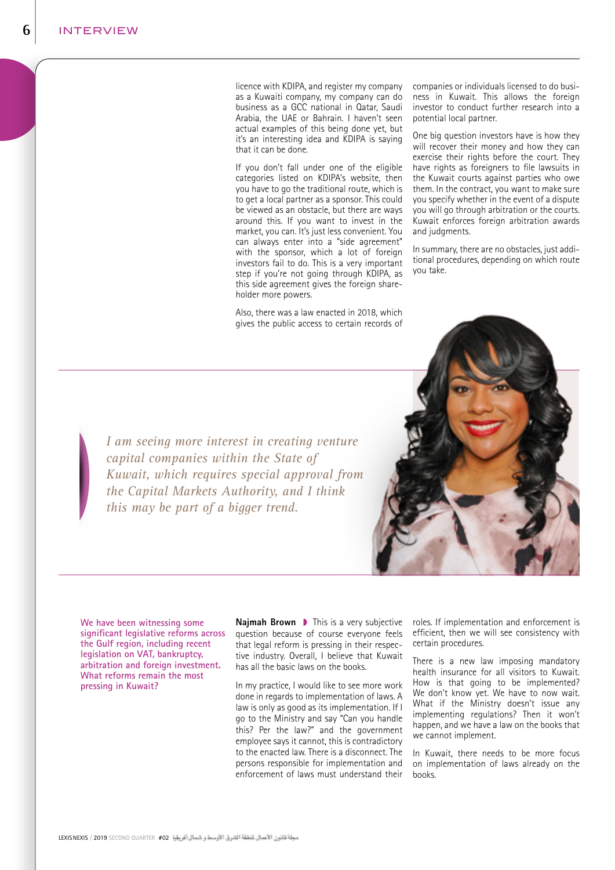licence with KDIPA, and register my company as a Kuwaiti company, my company can do business as a GCC national in Qatar, Saudi Arabia, the UAE or Bahrain. I haven't seen actual examples of this being done yet, but it's an interesting idea and KDIPA is saying that it can be done.

If you don't fall under one of the eligible categories listed on KDIPA's website, then you have to go the traditional route, which is to get a local partner as a sponsor. This could be viewed as an obstacle, but there are ways around this. If you want to invest in the market, you can. It's just less convenient. You can always enter into a "side agreement" with the sponsor, which a lot of foreign investors fail to do. This is a very important step if you're not going through KDIPA, as this side agreement gives the foreign shareholder more powers.

Also, there was a law enacted in 2018, which gives the public access to certain records of companies or individuals licensed to do business in Kuwait. This allows the foreign investor to conduct further research into a potential local partner.

One big question investors have is how they will recover their money and how they can exercise their rights before the court. They have rights as foreigners to file lawsuits in the Kuwait courts against parties who owe them. In the contract, you want to make sure you specify whether in the event of a dispute you will go through arbitration or the courts. Kuwait enforces foreign arbitration awards and judgments.

In summary, there are no obstacles, just additional procedures, depending on which route you take.

*I am seeing more interest in creating venture capital companies within the State of Kuwait, which requires special approval from the Capital Markets Authority, and I think this may be part of a bigger trend.*

**We have been witnessing some significant legislative reforms across the Gulf region, including recent legislation on VAT, bankruptcy, arbitration and foreign investment. What reforms remain the most pressing in Kuwait?**

**Najmah Brown D** This is a very subjective question because of course everyone feels that legal reform is pressing in their respective industry. Overall, I believe that Kuwait has all the basic laws on the books.

In my practice, I would like to see more work done in regards to implementation of laws. A law is only as good as its implementation. If I go to the Ministry and say "Can you handle this? Per the law?" and the government employee says it cannot, this is contradictory to the enacted law. There is a disconnect. The persons responsible for implementation and enforcement of laws must understand their roles. If implementation and enforcement is efficient, then we will see consistency with certain procedures.

There is a new law imposing mandatory health insurance for all visitors to Kuwait. How is that going to be implemented? We don't know yet. We have to now wait. What if the Ministry doesn't issue any implementing regulations? Then it won't happen, and we have a law on the books that we cannot implement.

In Kuwait, there needs to be more focus on implementation of laws already on the books.